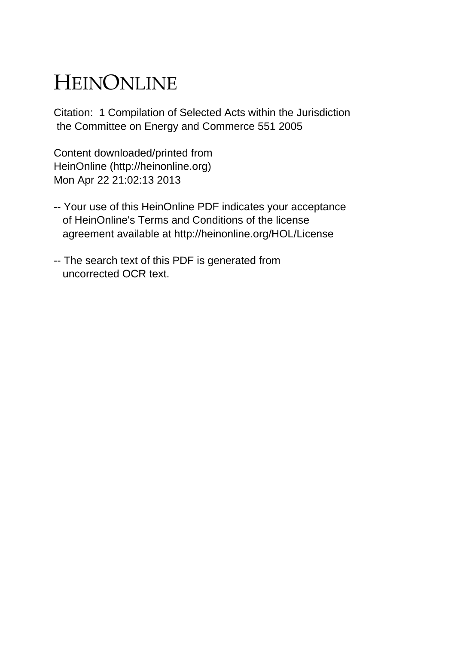# HEINONLINE

Citation: 1 Compilation of Selected Acts within the Jurisdiction the Committee on Energy and Commerce 551 2005

Content downloaded/printed from HeinOnline (http://heinonline.org) Mon Apr 22 21:02:13 2013

- -- Your use of this HeinOnline PDF indicates your acceptance of HeinOnline's Terms and Conditions of the license agreement available at http://heinonline.org/HOL/License
- -- The search text of this PDF is generated from uncorrected OCR text.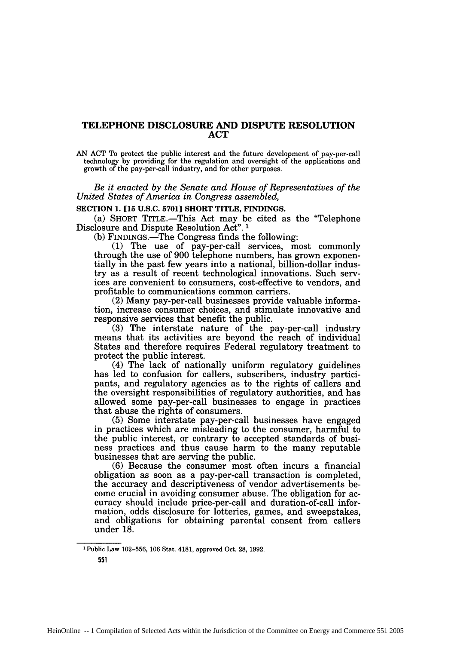### **TELEPHONE DISCLOSURE AND DISPUTE RESOLUTION ACT**

**AN ACT** To protect the public interest and the future development of pay-per-call technology **by** providing for the regulation and oversight of the applications and growth of the pay-per-call industry, and for other purposes.

*Be it enacted by the Senate and House of Representatives of the United States of America in Congress assembled,*

### **SECTION 1. [15 U.S.C. 5701] SHORT TITLE, FINDINGS.**

(a) SHORT TITLE.-This Act may be cited as the "Telephone Disclosure and Dispute Resolution Act". **1**

**(b)** FINDINGS.-The Congress finds the following:

**(1)** The use of pay-per-call services, most commonly through the use of **900** telephone numbers, has grown exponentially in the past few years into a national, billion-dollar industry as a result of recent technological innovations. Such services are convenient to consumers, cost-effective to vendors, and profitable to communications common carriers.

(2) Many pay-per-call businesses provide valuable information, increase consumer choices, and stimulate innovative and responsive services that benefit the public.

**(3)** The interstate nature of the pay-per-call industry means that its activities are beyond the reach of individual States and therefore requires Federal regulatory treatment to protect the public interest.

(4) The lack of nationally uniform regulatory guidelines has led to confusion for callers, subscribers, industry participants, and regulatory agencies as to the rights of callers and the oversight responsibilities of regulatory authorities, and has allowed some pay-per-call businesses to engage in practices that abuse the rights of consumers.

**(5)** Some interstate pay-per-call businesses have engaged in practices which are misleading to the consumer, harmful to the public interest, or contrary to accepted standards of business practices and thus cause harm to the many reputable businesses that are serving the public.

**(6)** Because the consumer most often incurs a financial obligation as soon as a pay-per-call transaction is completed, the accuracy and descriptiveness of vendor advertisements become crucial in avoiding consumer abuse. The obligation for accuracy should include price-per-call and duration-of-call information, odds disclosure for lotteries, games, and sweepstakes, and obligations for obtaining parental consent from callers under **18.**

**<sup>&#</sup>x27;Public Law 102-556, 106 Stat. 4181, approved Oct. 28, 1992.**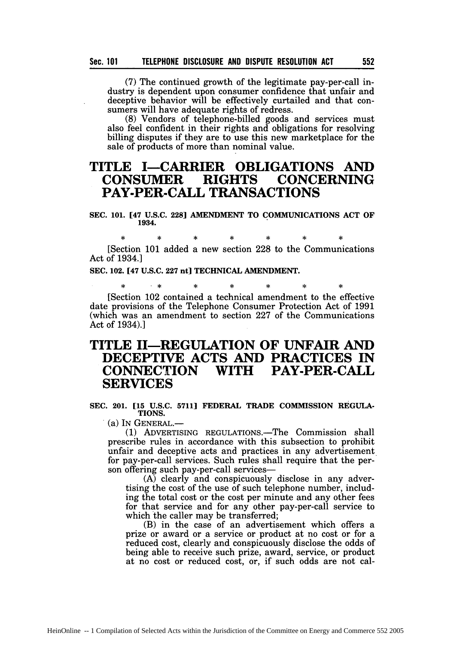(7) The continued growth of the legitimate pay-per-call industry is dependent upon consumer confidence that unfair and deceptive behavior will be effectively curtailed and that consumers will have adequate rights of redress.

(8) Vendors of telephone-billed goods and services must also feel confident in their rights and obligations for resolving billing disputes if they are to use this new marketplace for the sale of products of more than nominal value.

# **TITLE I-CARRIER OBLIGATIONS AND CONSUMER RIGHTS CONCERNING PAY-PER-CALL TRANSACTIONS**

### **SEC. 101. [47 U.S.C. 228] AMENDMENT TO COMMUNICATIONS ACT OF 1934.**

**\* \* \* \* \* \* \*** [Section **101** added a new section **228** to the Communications Act of 1934.]

**SEC. 102. [47 U.S.C. 227** nt] **TECHNICAL AMENDMENT.**

[Section 102 contained a technical amendment to the effective date provisions of the Telephone Consumer Protection Act of 1991 (which was an amendment to section 227 of the Communications Act of 1934).]

**\* -. , \* \* \* \* \***

## **TITLE II-REGULATION OF UNFAIR AND DECEPTIVE ACTS AND PRACTICES IN CONNECTION WITH PAY-PER-CALL SERVICES**

### **SEC. 201. [15 U.S.C. 5711] FEDERAL TRADE COMMISSION REGULA-TIONS.**

(a) IN **GENERAL.-**

**(1)** ADVERTISING REGULATIONS.-The Commission shall prescribe rules in accordance with this subsection to prohibit unfair and deceptive acts and practices in any advertisement for pay-per-call services. Such rules shall require that the person offering such pay-per-call services-

(A) clearly and conspicuously disclose in any advertising the cost of the use of such telephone number, including the total cost or the cost per minute and any other fees for that service and for any other pay-per-call service to which the caller may be transferred;

(B) in the case of an advertisement which offers a prize or award or a service or product at no cost or for a reduced cost, clearly and conspicuously disclose the odds of being able to receive such prize, award, service, or product at no cost or reduced cost, or, if such odds are not cal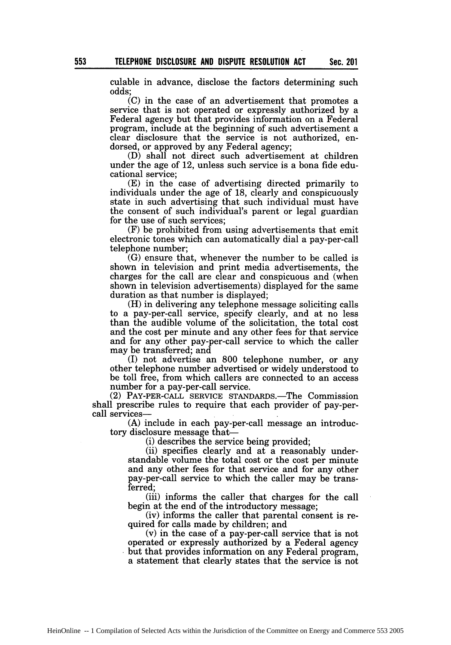culable in advance, disclose the factors determining such odds;

(C) in the case of an advertisement that promotes a service that is not operated or expressly authorized by a Federal agency but that provides information on a Federal program, include at the beginning of such advertisement a clear disclosure that the service is not authorized, en-<br>dorsed, or approved by any Federal agency;

(D) shall not direct such advertisement at children under the age of 12, unless such service is a bona fide educational service;

(E) in the case of advertising directed primarily to individuals under the age of 18, clearly and conspicuously state in such advertising that such individual must have the consent of such individual's parent or legal guardian for the use of such services;

(F) be prohibited from using advertisements that emit electronic tones which can automatically dial a pay-per-call telephone number;

(G) ensure that, whenever the number to be called is shown in television and print media advertisements, the charges for the call are clear and conspicuous and (when shown in television advertisements) displayed for the same

 $(H)$  in delivering any telephone message soliciting calls to a pay-per-call service, specify clearly, and at no less than the audible volume of the solicitation, the total cost and the cost per minute and any other fees for that service and for any other pay-per-call service to which the caller may be transferred; and

(I) not advertise an 800 telephone number, or any other telephone number advertised or widely understood to be toll free, from which callers are connected to an access number for a pay-per-call service.

(2) PAY-PER-CALL SERVICE STANDARDS.—The Commission shall prescribe rules to require that each provider of pay-per-<br>call services—

(A) include in each pay-per-call message an introductory disclosure message that-

(i) describes the service being provided;

(ii) specifies clearly and at a reasonably understandable volume the total cost or the cost per minute and any other fees for that service and for any other pay-per-call service to which the caller may be transferred;

(iii) informs the caller that charges for the call begin at the end of the introductory message;

(iv) informs the caller that parental consent is required for calls made by children; and

(v) in the case of a pay-per-call service that is not operated or expressly authorized by a Federal agency but that provides information on any Federal program, a statement that clearly states that the service is not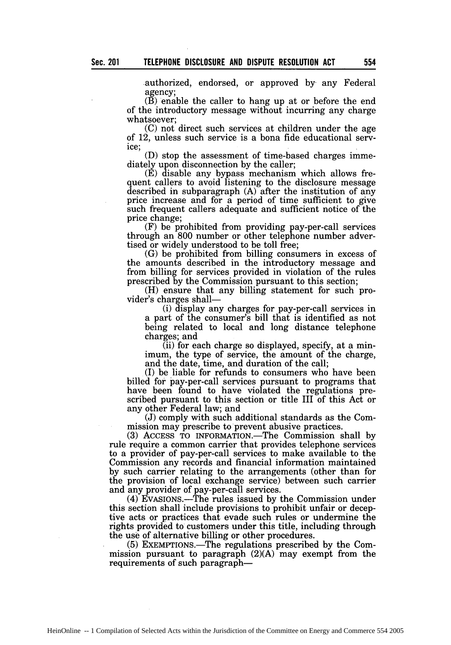authorized, endorsed, or approved by any Federal agency;

(B) enable the caller to hang up at or before the end of the introductory message without incurring any charge whatsoever;

(C) not direct such services at children under the age of 12, unless such service is a bona fide educational service;

(D) stop the assessment of time-based charges immediately upon disconnection by the caller;

(E) disable any bypass mechanism which allows frequent callers to avoid listening to the disclosure message described in subparagraph (A) after the institution of any price increase and for a period of time sufficient to give such frequent callers adequate and sufficient notice of the price change;

(F) be prohibited from providing pay-per-call services through an 800 number or other telephone number advertised or widely understood to be toll free;

(G) be prohibited from billing consumers in excess of the amounts described in the introductory message and from billing for services provided in violation of the rules prescribed by the Commission pursuant to this section;

(H) ensure that any billing statement for such provider's charges shall-

(i) display any charges for pay-per-call services in a part of the consumer's bill that is identified as not being related to local and long distance telephone charges; and

(ii) for each charge so displayed, specify, at a minimum, the type of service, the amount of the charge, and the date, time, and duration of the call;

(I) be liable for refunds to consumers who have been billed for pay-per-call services pursuant to programs that have been found to have violated the regulations prescribed pursuant to this section or title III of this Act or any other Federal law; and

(J) comply with such additional standards as the Commission may prescribe to prevent abusive practices.

(3) ACCESS TO INFORMATION.-The Commission shall by rule require a common carrier that provides telephone services to a provider of pay-per-call services to make available to the Commission any records and financial information maintained by such carrier relating to the arrangements (other than for the provision of local exchange service) between such carrier and any provider of pay-per-call services.

(4) EVASIONS.-The rules issued by the Commission under this section shall include provisions to prohibit unfair or deceptive acts or practices that evade such rules or undermine the rights provided to customers under this title, including through the use of alternative billing or other procedures.

(5) EXEMPTIONS.-The regulations prescribed by the Commission pursuant to paragraph  $(2)(A)$  may exempt from the requirements of such paragraph-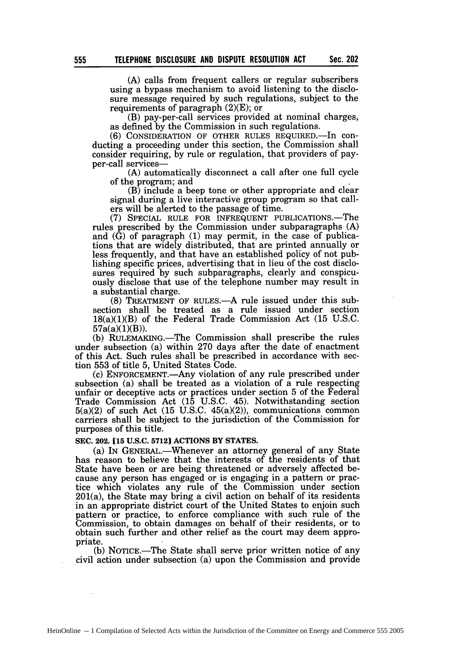(A) calls from frequent callers or regular subscribers using a bypass mechanism to avoid listening to the disclosure message required by such regulations, subject to the requirements of paragraph  $(2)(E)$ ; or

(B) pay-per-call services provided at nominal charges, as defined by the Commission in such regulations.

(6) CONSIDERATION OF OTHER RULES REQUIRED. In conducting a proceeding under this section, the Commission shall consider requiring, by rule or regulation, that providers of payper-call services-

(A) automatically disconnect a call after one full cycle of the program; and

(B) include a beep tone or other appropriate and clear signal during a live interactive group program so that callers will be alerted to the passage of time.

(7) **SPECIAL** RULE FOR INFREQUENT PUBLICATIONS.-The rules prescribed by the Commission under subparagraphs (A) and  $(G)$  of paragraph  $(1)$  may permit, in the case of publications that are widely distributed, that are printed annually or less frequently, and that have an established policy of not publishing specific prices, advertising that in lieu of the cost disclosures required by such subparagraphs, clearly and conspicuously disclose that use of the telephone number may result in a substantial charge.

(8) TREATMENT OF RULES.-A rule issued under this subsection shall be treated as a rule issued under section 18(a)(1)(B) of the Federal Trade Commission Act (15 U.S.C. 57a(a)(1)(B)).

(b) RULEMAKING.-The Commission shall prescribe the rules under subsection (a) within 270 days after the date of enactment of this Act. Such rules shall be prescribed in accordance with section 553 of title 5, United States Code.

(c) ENFORCEMENT.-Any violation of any rule prescribed under subsection (a) shall be treated as a violation of a rule respecting unfair or deceptive acts or practices under section 5 of the Federal Trade Commission Act (15 U.S.C. 45). Notwithstanding section  $5(a)(2)$  of such Act (15 U.S.C.  $45(a)(2)$ ), communications common carriers shall be subject to the jurisdiction of the Commission for purposes of this title.

### **SEC. 202. [15 U.S.C. 5712]** ACTIONS BY **STATES.**

(a) In GENERAL.—Whenever an attorney general of any State has reason to believe that the interests of the residents of that State have been or are being threatened or adversely affected because any person has engaged or is engaging in a pattern or practice which violates any rule of the Commission under section  $201(a)$ , the State may bring a civil action on behalf of its residents in an appropriate district court of the United States to enjoin such pattern or practice, to enforce compliance with such rule of the Commission, to obtain damages on behalf of their residents, or to obtain such further and other relief as the court may deem appropriate.

**(b)** NOTICE.-The State shall serve prior written notice of any civil action under subsection (a) upon the Commission and provide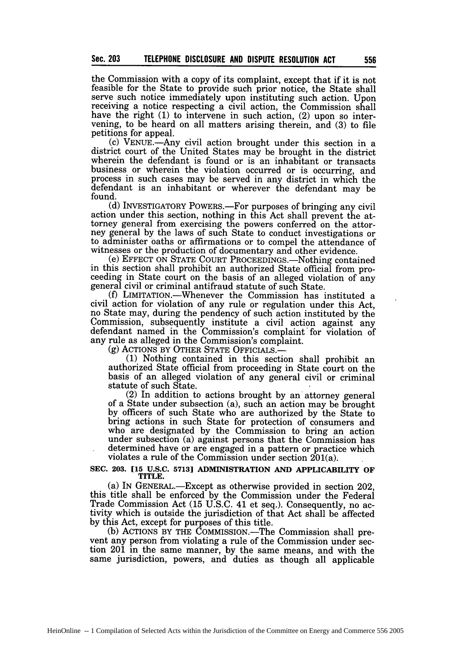the Commission with a copy of its complaint, except that if it is not feasible for the State to provide such prior notice, the State shall serve such notice immediately upon instituting such action. Upon receiving a notice respecting a civil action, the Commission shall have the right (1) to intervene in such action, (2) upon so intervening, to be heard on all matters arising therein, and (3) to file petitions for appeal.

(c) VENUE.-Any civil action brought under this section in a district court of the United States may be brought in the district wherein the defendant is found or is an inhabitant or transacts business or wherein the violation occurred or is occurring, and process in such cases may be served in any district in which the defendant is an inhabitant or wherever the defendant may be found.

(d) INVESTIGATORY POWERS.—For purposes of bringing any civil action under this section, nothing in this Act shall prevent the attorney general from exercising the powers conferred on the attorney general by the laws of such State to conduct investigations or to administer oaths or affirmations or to compel the attendance of witnesses or the production of documentary and other evidence.

(e) EFFECT ON STATE COURT PROCEEDINGS.—Nothing contained in this section shall prohibit an authorized State official from proceeding in State court on the basis of an alleged violation of any general civil or criminal antifraud statute of such State.

(f) LIMITATION.-Whenever the Commission has instituted a civil action for violation of any rule or regulation under this Act, no State may, during the pendency of such action instituted by the Commission, subsequently institute a civil action against any defendant named in the Commission's complaint for violation of any rule as alleged in the Commission's complaint.<br>(g) ACTIONS BY OTHER STATE OFFICIALS.—

(1) Nothing contained in this section shall prohibit an authorized State official from proceeding in State court on the basis of an alleged violation of any general civil or criminal statute of such State.<br>(2) In addition to actions brought by an attorney general

of a State under subsection (a), such an action may be brought by officers of such State who are authorized by the State to bring actions in such State for protection of consumers and who are designated by the Commission to bring an action under subsection (a) against persons that the Commission has determined have or are engaged in a pattern or practice which violates a rule of the Commission under section 201(a).

### **SEC. 203. [15 U.S.C. 5713] ADMINISTRATION AND APPLICABILITY OF** TITLE.

(a) IN GENERAL-Except as otherwise provided in section 202, this title shall be enforced **by** the Commission under the Federal Trade Commission Act **(15 U.S.C.** 41 et seq.). Consequently, no activity which is outside the jurisdiction of that Act shall be affected **by** this Act, except for purposes of this title.

**(b)** ACTIONS BY THE COMMISSION.-The Commission shall prevent any person from violating a rule of the Commission under section 201 in the same manner, **by** the same means, and with the same jurisdiction, powers, and duties as though all applicable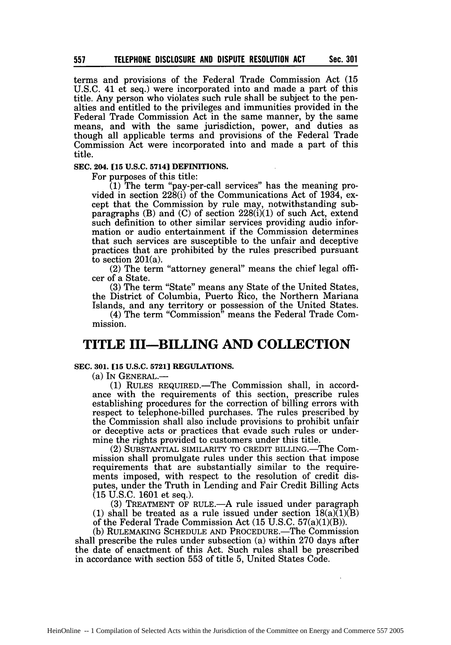terms and provisions of the Federal Trade Commission Act (15 U.S.C. 41 et seq.) were incorporated into and made a part of this title. Any person who violates such rule shall be subject to the penalties and entitled to the privileges and immunities provided in the Federal Trade Commission Act in the same manner, by the same means, and with the same jurisdiction, power, and duties as though all applicable terms and provisions of the Federal Trade Commission Act were incorporated into and made a part of this title.

### **SEC. 204. [15 U.S.C. 5714] DEFINITIONS.**

For purposes of this title:

(1) The term "pay-per-call services" has the meaning provided in section 228(i) of the Communications Act of 1934, except that the Commission by rule may, notwithstanding subparagraphs  $(B)$  and  $(C)$  of section  $228(i)(1)$  of such Act, extend such definition to other similar services providing audio information or audio entertainment if the Commission determines that such services are susceptible to the unfair and deceptive practices that are prohibited by the rules prescribed pursuant to section 201(a).

(2) The term "attorney general" means the chief legal officer of a State.

(3) The term "State" means any State of the United States, the District of Columbia, Puerto Rico, the Northern Mariana Islands, and any territory or possession of the United States.

(4) The term "Commission" means the Federal Trade Commission.

# **TITLE III-BILLING AND COLLECTION**

### **SEC. 301. [15 U.S.C. 5721] REGULATIONS.**

(a) IN **GENERAL.-**

(1) RULES REQUIRED.-The Commission shall, in accordance with the requirements of this section, prescribe rules establishing procedures for the correction of billing errors with respect to telephone-billed purchases. The rules prescribed by the Commission shall also include provisions to prohibit unfair or deceptive acts or practices that evade such rules or undermine the rights provided to customers under this title.

(2) SUBSTANTIAL SIMILARITY TO CREDIT BILLING.—The Commission shall promulgate rules under this section that impose requirements that are substantially similar to the requirements imposed, with respect to the resolution of credit disputes, under the Truth in Lending and Fair Credit Billing Acts (15 U.S.C. 1601 et seq.).

(3) TREATMENT OF RULE.— $A$  rule issued under paragraph (1) shall be treated as a rule issued under section  $18(a)(1)(B)$ of the Federal Trade Commission Act (15 U.S.C. 57(a)(1)(B)).

(b) RULEMAKING SCHEDULE AND PROCEDURE.—The Commission shall prescribe the rules under subsection (a) within 270 days after the date of enactment of this Act. Such rules shall be prescribed in accordance with section 553 of title 5, United States Code.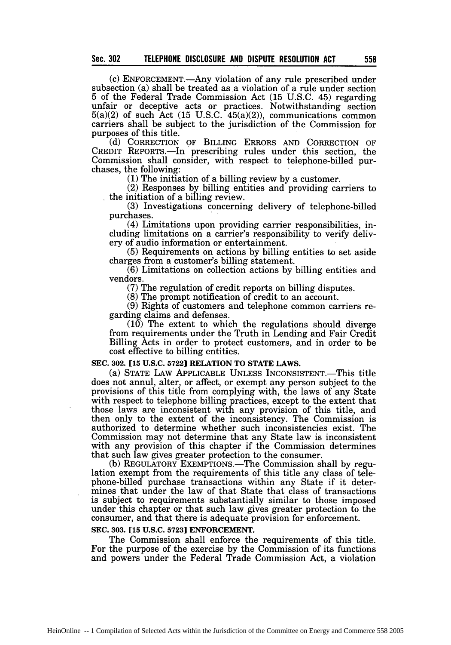(c) ENFORCEMENT.-Any violation of any rule prescribed under subsection (a) shall be treated as a violation of a rule under section 5 of the Federal Trade Commission Act (15 U.S.C. 45) regarding unfair or deceptive acts or practices. Notwithstanding section  $5(a)(2)$  of such Act (15 U.S.C. 45 $(a)(2)$ ), communications common carriers shall be subject to the jurisdiction of the Commission for purposes of this title.

(d) CORRECTION OF BILLING ERRORS AND CORRECTION OF CREDIT REPORTS.-In prescribing rules under this section, the Commission shall consider, with respect to telephone-billed purchases, the following:

(1) The initiation of a billing review by a customer.

(2) Responses by billing entities and providing carriers to the initiation of a billing review.

(3) Investigations concerning delivery of telephone-billed purchases.

(4) Limitations upon providing carrier responsibilities, including limitations on a carrier's responsibility to verify delivery of audio information or entertainment.

(5) Requirements on actions by billing entities to set aside charges from a customer's billing statement.

(6) Limitations on collection actions by billing entities and vendors.

(7) The regulation of credit reports on billing disputes.

(8) The prompt notification of credit to an account.

(9) Rights of customers and telephone common carriers regarding claims and defenses.

(10) The extent to which the regulations should diverge from requirements under the Truth in Lending and Fair Credit Billing Acts in order to protect customers, and in order to be cost effective to billing entities.

### **SEC. 302. [15 U.S.C. 57221** RELATION TO **STATE** LAWS.

(a) **STATE** LAW APPLICABLE **UNLESS** INCONSISTENT.-This title does not annul, alter, or affect, or exempt any person subject to the provisions of this title from complying with, the laws of any State with respect to telephone billing practices, except to the extent that those laws are inconsistent with any provision of this title, and then only to the extent of the inconsistency. The Commission is authorized to determine whether such inconsistencies exist. The Commission may not determine that any State law is inconsistent with any provision of this chapter if the Commission determines that such law gives greater protection to the consumer.

**(b)** REGULATORY EXEMPTIONS.-The Commission shall **by** regulation exempt from the requirements of this title any class of telephone-billed purchase transactions within any State if it determines that under the law of that State that class of transactions is subject to requirements substantially similar to those imposed under this chapter or that such law gives greater protection to the consumer, and that there is adequate provision for enforcement.

### **SEC. 303. [15 U.S.C. 57231 ENFORCEMENT.**

The Commission shall enforce the requirements of this title. For the purpose of the exercise **by** the Commission of its functions and powers under the Federal Trade Commission Act, a violation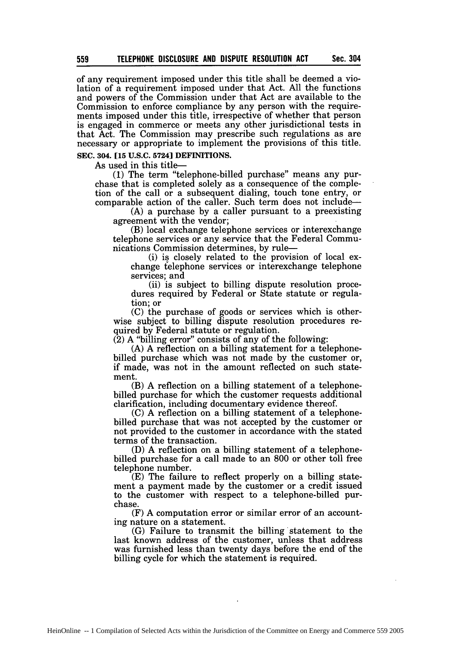**Sec. 304**

of any requirement imposed under this title shall be deemed a violation of a requirement imposed under that Act. All the functions and powers of the Commission under that Act are available to the Commission to enforce compliance by any person with the requirements imposed under this title, irrespective of whether that person is engaged in commerce or meets any other jurisdictional tests in that Act. The Commission may prescribe such regulations as are necessary or appropriate to implement the provisions of this title.

### **SEC. 304. [15 U.S.C. 5724] DEFINITIONS.**

As used in this title-

**(1)** The term "telephone-billed purchase" means any purchase that is completed solely as a consequence of the completion of the call or a subsequent dialing, touch tone entry, or comparable action of the caller. Such term does not include-

(A) a purchase by a caller pursuant to a preexisting agreement with the vendor;

(B) local exchange telephone services or interexchange telephone services or any service that the Federal Communications Commission determines, by rule-

(i) is closely related to the provision of local exchange ielephone services or interexchange telephone services; and

(ii) is subject to billing dispute resolution procedures required by Federal or State statute or regulation; or

(C) the purchase of goods or services which is otherwise subject to billing dispute resolution procedures required by Federal statute or regulation.

(2) A "billing error" consists of any of the following:

(A) A reflection on a billing statement for a telephonebilled purchase which was not made by the customer or, if made, was not in the amount reflected on such statement.

(B) A reflection on a billing statement of a telephonebilled purchase for which the customer requests additional clarification, including documentary evidence thereof.

(C) A reflection on a billing statement of a telephonebilled purchase that was not accepted by the customer or not provided to the customer in accordance with the stated terms of the transaction.

(D) A reflection on a billing statement of a telephonebilled purchase for a call made to an 800 or other toll free telephone number.

(E) The failure to reflect properly on a billing statement a payment made by the customer or a credit issued to the customer with respect to a telephone-billed purchase.

(F) A computation error or similar error of an accounting nature on a statement.

(G) Failure to transmit the billing statement to the last known address of the customer, unless that address was furnished less than twenty days before the end of the billing cycle for which the statement is required.

559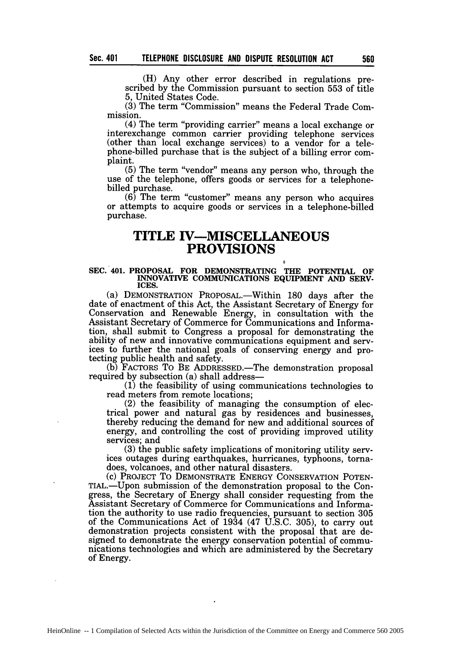(H) Any other error described in regulations prescribed by the Commission pursuant to section 553 of title 5, United States Code.

(3) The term "Commission" means the Federal Trade Commission.

(4) The term "providing carrier" means a local exchange or interexchange common carrier providing telephone services (other than local exchange services) to a vendor for a telephone-billed purchase that is the subject of a billing error complaint.

(5) The term "vendor" means any person who, through the use of the telephone, offers goods or services for a telephonebilled purchase.

(6) The term "customer" means any person who acquires or attempts to acquire goods or services in a telephone-billed purchase.

# **TITLE IV-MISCELLANEOUS PROVISIONS**

#### **SEC. 401. PROPOSAL FOR DEMONSTRATING THE POTENTIAL OF INNOVATIVE COMMUNICATIONS EQUIPMENT AND SERV-ICES.**

(a) DEMONSTRATION PROPOSAL.-Within 180 days after the date of enactment of this Act, the Assistant Secretary of Energy for Conservation and Renewable Energy, in consultation with the Assistant Secretary of Commerce for Communications and Information, shall submit to Congress a proposal for demonstrating the ability of new and innovative communications equipment and services to further the national goals of conserving energy and protecting public health and safety.

(b) FACTORS TO BE ADDRESSED.—The demonstration proposal required by subsection (a) shall address—

**(1)** the feasibility of using communications technologies to read meters from remote locations;

(2) the feasibility of managing the consumption of electrical power and natural gas by residences and businesses, thereby reducing the demand for new and additional sources of energy, and controlling the cost of providing improved utility services; and

(3) the public safety implications of monitoring utility services outages during earthquakes, hurricanes, typhoons, tornadoes, volcanoes, and other natural disasters.

(c) **PROJECT** To DEMONSTRATE ENERGY CONSERVATION POTEN-TIAL.-Upon submission of the demonstration proposal to the Congress, the Secretary of Energy shall consider requesting from the Assistant Secretary of Commerce for Communications and Information the authority to use radio frequencies, pursuant to section 305 of the Communications Act of 1934 (47 U.S.C. 305), to carry out demonstration projects consistent with the proposal that are designed to demonstrate the energy conservation potential of communications technologies and which are administered by the Secretary of Energy.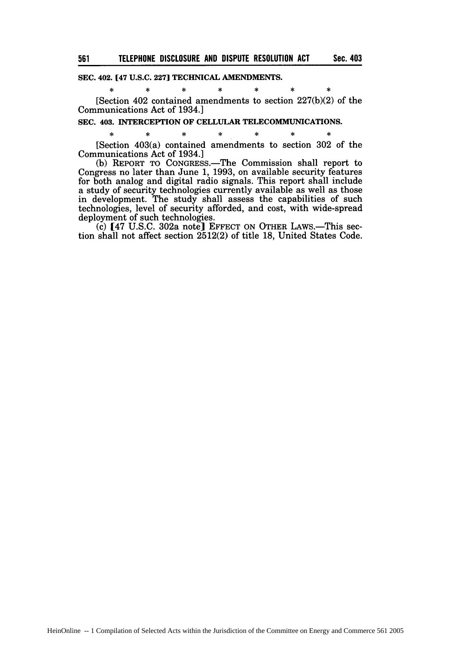### **SEC. 402. [47 U.S.C. 227] TECHNICAL AMENDMENTS.**

**\* \* \* \* \* \* \*** [Section 402 contained amendments to section **227(b)(2)** of the Communications Act of 1934.]

### **SEC. 403. INTERCEPTION OF CELLULAR TELECOMMUNICATIONS.**

**\* \* \* \* \* \* \*** [Section 403(a) contained amendments to section **302** of the Communications Act of 1934.]

**(b) REPORT TO CONGRESS.-The** Commission shall report to Congress no later than June **1, 1993,** on available security features for both analog and digital radio signals. This report shall include a study of security technologies currently available as well as those in development. The study shall assess the capabilities of such technologies, level of security afforded, and cost, with wide-spread deployment of such technologies.

(c) **[47 U.S.C.** 302a note] **EFFECT ON** OTHER LAws.-This section shall not affect section **2512(2)** of title **18,** United States Code.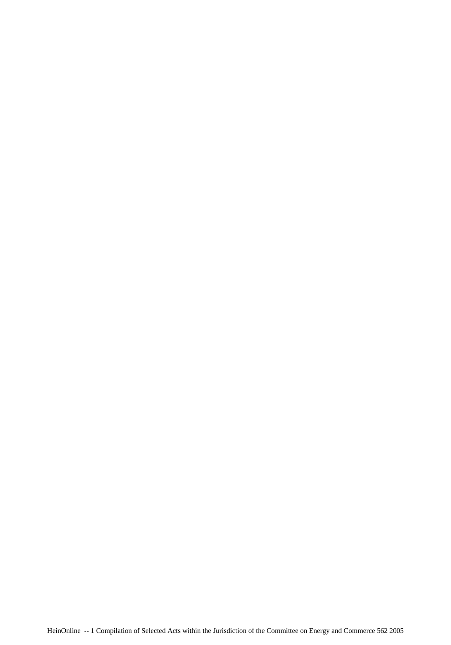HeinOnline -- 1 Compilation of Selected Acts within the Jurisdiction of the Committee on Energy and Commerce 562 2005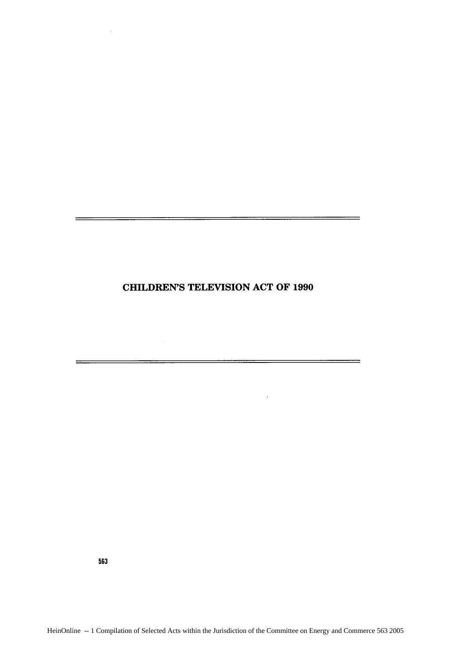### CHILDREN'S TELEVISION **ACT** OF **1990**

 $\hat{\mathcal{A}}$ 

563

 $\overline{\phantom{a}}$